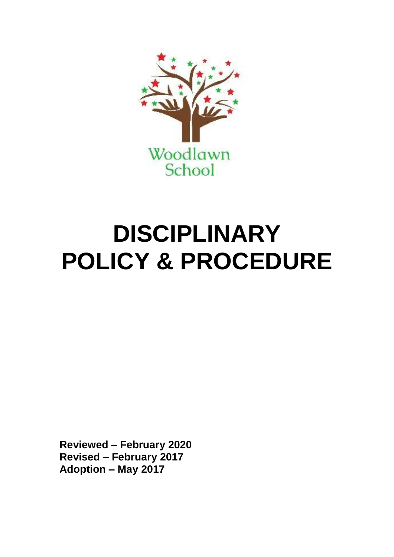

# **DISCIPLINARY POLICY & PROCEDURE**

**Reviewed – February 2020 Revised – February 2017 Adoption – May 2017**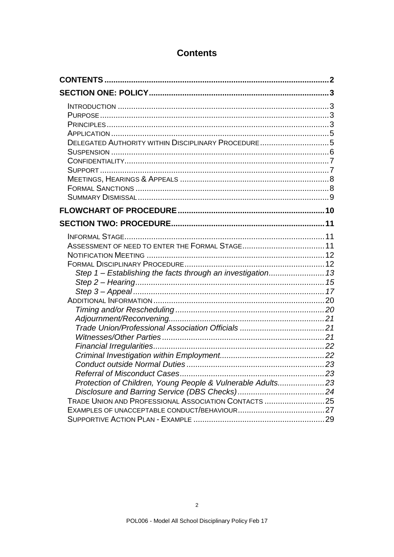<span id="page-1-0"></span>

| DELEGATED AUTHORITY WITHIN DISCIPLINARY PROCEDURE5<br>Step 1 - Establishing the facts through an investigation 13<br>Protection of Children, Young People & Vulnerable Adults23<br>TRADE UNION AND PROFESSIONAL ASSOCIATION CONTACTS 25 |  |
|-----------------------------------------------------------------------------------------------------------------------------------------------------------------------------------------------------------------------------------------|--|
|                                                                                                                                                                                                                                         |  |
|                                                                                                                                                                                                                                         |  |
|                                                                                                                                                                                                                                         |  |
|                                                                                                                                                                                                                                         |  |
|                                                                                                                                                                                                                                         |  |
|                                                                                                                                                                                                                                         |  |
|                                                                                                                                                                                                                                         |  |
|                                                                                                                                                                                                                                         |  |
|                                                                                                                                                                                                                                         |  |
|                                                                                                                                                                                                                                         |  |
|                                                                                                                                                                                                                                         |  |
|                                                                                                                                                                                                                                         |  |
|                                                                                                                                                                                                                                         |  |
|                                                                                                                                                                                                                                         |  |
|                                                                                                                                                                                                                                         |  |
|                                                                                                                                                                                                                                         |  |
|                                                                                                                                                                                                                                         |  |
|                                                                                                                                                                                                                                         |  |
|                                                                                                                                                                                                                                         |  |
|                                                                                                                                                                                                                                         |  |
|                                                                                                                                                                                                                                         |  |
|                                                                                                                                                                                                                                         |  |
|                                                                                                                                                                                                                                         |  |
|                                                                                                                                                                                                                                         |  |
|                                                                                                                                                                                                                                         |  |
|                                                                                                                                                                                                                                         |  |
|                                                                                                                                                                                                                                         |  |
|                                                                                                                                                                                                                                         |  |
|                                                                                                                                                                                                                                         |  |
|                                                                                                                                                                                                                                         |  |
|                                                                                                                                                                                                                                         |  |
|                                                                                                                                                                                                                                         |  |
|                                                                                                                                                                                                                                         |  |
|                                                                                                                                                                                                                                         |  |
|                                                                                                                                                                                                                                         |  |

# **Contents**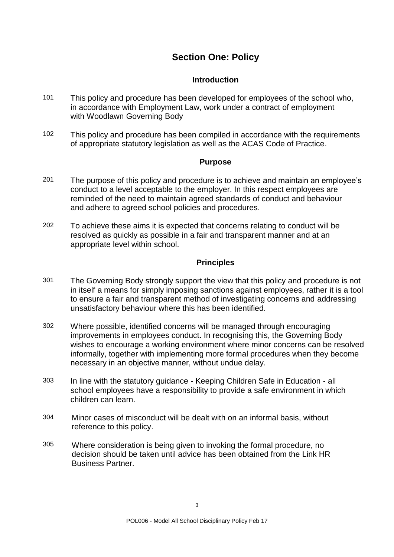# **Section One: Policy**

#### **Introduction**

- <span id="page-2-1"></span><span id="page-2-0"></span>101 This policy and procedure has been developed for employees of the school who, in accordance with Employment Law, work under a contract of employment with Woodlawn Governing Body
- 102 This policy and procedure has been compiled in accordance with the requirements of appropriate statutory legislation as well as the ACAS Code of Practice.

#### **Purpose**

- <span id="page-2-2"></span>201 The purpose of this policy and procedure is to achieve and maintain an employee's conduct to a level acceptable to the employer. In this respect employees are reminded of the need to maintain agreed standards of conduct and behaviour and adhere to agreed school policies and procedures.
- 202 To achieve these aims it is expected that concerns relating to conduct will be resolved as quickly as possible in a fair and transparent manner and at an appropriate level within school.

#### **Principles**

- <span id="page-2-3"></span>301 The Governing Body strongly support the view that this policy and procedure is not in itself a means for simply imposing sanctions against employees, rather it is a tool to ensure a fair and transparent method of investigating concerns and addressing unsatisfactory behaviour where this has been identified.
- 302 Where possible, identified concerns will be managed through encouraging improvements in employees conduct. In recognising this, the Governing Body wishes to encourage a working environment where minor concerns can be resolved informally, together with implementing more formal procedures when they become necessary in an objective manner, without undue delay.
- 303 In line with the statutory guidance Keeping Children Safe in Education all school employees have a responsibility to provide a safe environment in which children can learn.
- 304 Minor cases of misconduct will be dealt with on an informal basis, without reference to this policy.
- 305 Where consideration is being given to invoking the formal procedure, no decision should be taken until advice has been obtained from the Link HR Business Partner.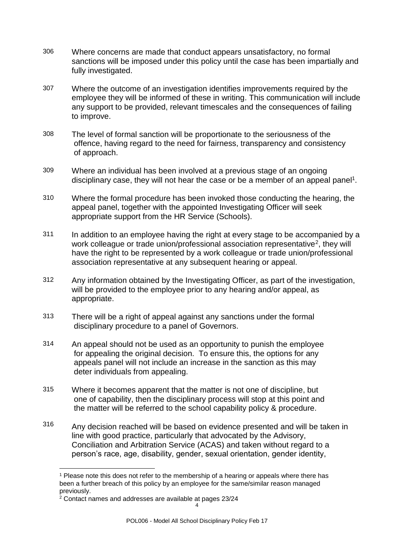- 306 Where concerns are made that conduct appears unsatisfactory, no formal sanctions will be imposed under this policy until the case has been impartially and fully investigated.
- 307 Where the outcome of an investigation identifies improvements required by the employee they will be informed of these in writing. This communication will include any support to be provided, relevant timescales and the consequences of failing to improve.
- 308 The level of formal sanction will be proportionate to the seriousness of the offence, having regard to the need for fairness, transparency and consistency of approach.
- 309 Where an individual has been involved at a previous stage of an ongoing disciplinary case, they will not hear the case or be a member of an appeal panel<sup>1</sup>.
- 310 Where the formal procedure has been invoked those conducting the hearing, the appeal panel, together with the appointed Investigating Officer will seek appropriate support from the HR Service (Schools).
- 311 In addition to an employee having the right at every stage to be accompanied by a work colleague or trade union/professional association representative<sup>2</sup>, they will have the right to be represented by a work colleague or trade union/professional association representative at any subsequent hearing or appeal.
- 312 Any information obtained by the Investigating Officer, as part of the investigation, will be provided to the employee prior to any hearing and/or appeal, as appropriate.
- 313 There will be a right of appeal against any sanctions under the formal disciplinary procedure to a panel of Governors.
- 314 An appeal should not be used as an opportunity to punish the employee for appealing the original decision. To ensure this, the options for any appeals panel will not include an increase in the sanction as this may deter individuals from appealing.
- 315 Where it becomes apparent that the matter is not one of discipline, but one of capability, then the disciplinary process will stop at this point and the matter will be referred to the school capability policy & procedure.
- <sup>316</sup> Any decision reached will be based on evidence presented and will be taken in line with good practice, particularly that advocated by the Advisory, Conciliation and Arbitration Service (ACAS) and taken without regard to a person's race, age, disability, gender, sexual orientation, gender identity,

 $\overline{a}$ 

<sup>1</sup> Please note this does not refer to the membership of a hearing or appeals where there has been a further breach of this policy by an employee for the same/similar reason managed previously.

<sup>&</sup>lt;sup>2</sup> Contact names and addresses are available at pages 23/24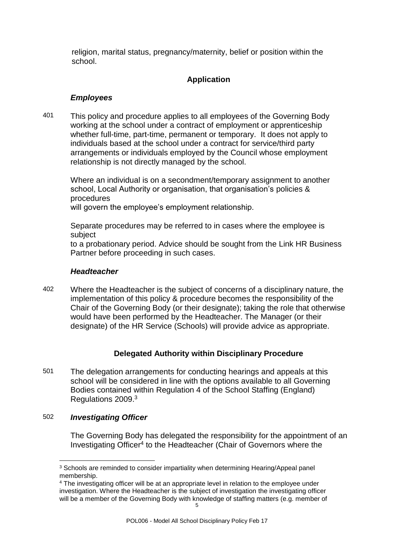religion, marital status, pregnancy/maternity, belief or position within the school.

## **Application**

#### <span id="page-4-0"></span>*Employees*

401 This policy and procedure applies to all employees of the Governing Body working at the school under a contract of employment or apprenticeship whether full-time, part-time, permanent or temporary. It does not apply to individuals based at the school under a contract for service/third party arrangements or individuals employed by the Council whose employment relationship is not directly managed by the school.

Where an individual is on a secondment/temporary assignment to another school, Local Authority or organisation, that organisation's policies & procedures

will govern the employee's employment relationship.

Separate procedures may be referred to in cases where the employee is subject

to a probationary period. Advice should be sought from the Link HR Business Partner before proceeding in such cases.

## *Headteacher*

402 Where the Headteacher is the subject of concerns of a disciplinary nature, the implementation of this policy & procedure becomes the responsibility of the Chair of the Governing Body (or their designate); taking the role that otherwise would have been performed by the Headteacher. The Manager (or their designate) of the HR Service (Schools) will provide advice as appropriate.

## **Delegated Authority within Disciplinary Procedure**

<span id="page-4-1"></span>501 The delegation arrangements for conducting hearings and appeals at this school will be considered in line with the options available to all Governing Bodies contained within Regulation 4 of the School Staffing (England) Regulations 2009.<sup>3</sup>

## 502 *Investigating Officer*

l

The Governing Body has delegated the responsibility for the appointment of an Investigating Officer<sup>4</sup> to the Headteacher (Chair of Governors where the

<sup>&</sup>lt;sup>3</sup> Schools are reminded to consider impartiality when determining Hearing/Appeal panel membership.

<sup>5</sup> <sup>4</sup> The investigating officer will be at an appropriate level in relation to the employee under investigation. Where the Headteacher is the subject of investigation the investigating officer will be a member of the Governing Body with knowledge of staffing matters (e.g. member of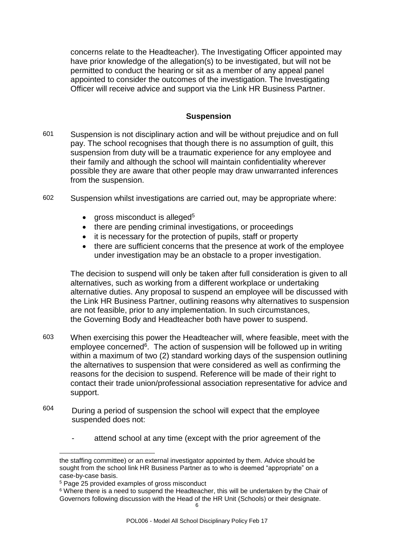concerns relate to the Headteacher). The Investigating Officer appointed may have prior knowledge of the allegation(s) to be investigated, but will not be permitted to conduct the hearing or sit as a member of any appeal panel appointed to consider the outcomes of the investigation. The Investigating Officer will receive advice and support via the Link HR Business Partner.

#### **Suspension**

- <span id="page-5-0"></span>601 Suspension is not disciplinary action and will be without prejudice and on full pay. The school recognises that though there is no assumption of guilt, this suspension from duty will be a traumatic experience for any employee and their family and although the school will maintain confidentiality wherever possible they are aware that other people may draw unwarranted inferences from the suspension.
- 602 Suspension whilst investigations are carried out, may be appropriate where:
	- $\bullet$  gross misconduct is alleged<sup>5</sup>
	- there are pending criminal investigations, or proceedings
	- it is necessary for the protection of pupils, staff or property
	- there are sufficient concerns that the presence at work of the employee under investigation may be an obstacle to a proper investigation.

The decision to suspend will only be taken after full consideration is given to all alternatives, such as working from a different workplace or undertaking alternative duties. Any proposal to suspend an employee will be discussed with the Link HR Business Partner, outlining reasons why alternatives to suspension are not feasible, prior to any implementation. In such circumstances, the Governing Body and Headteacher both have power to suspend.

- 603 When exercising this power the Headteacher will, where feasible, meet with the employee concerned<sup>6</sup>. The action of suspension will be followed up in writing within a maximum of two (2) standard working days of the suspension outlining the alternatives to suspension that were considered as well as confirming the reasons for the decision to suspend. Reference will be made of their right to contact their trade union/professional association representative for advice and support.
- $604$  During a period of suspension the school will expect that the employee suspended does not:
	- attend school at any time (except with the prior agreement of the

l the staffing committee) or an external investigator appointed by them. Advice should be sought from the school link HR Business Partner as to who is deemed "appropriate" on a case-by-case basis.

<sup>5</sup> Page 25 provided examples of gross misconduct

<sup>&</sup>lt;sup>6</sup> Where there is a need to suspend the Headteacher, this will be undertaken by the Chair of Governors following discussion with the Head of the HR Unit (Schools) or their designate.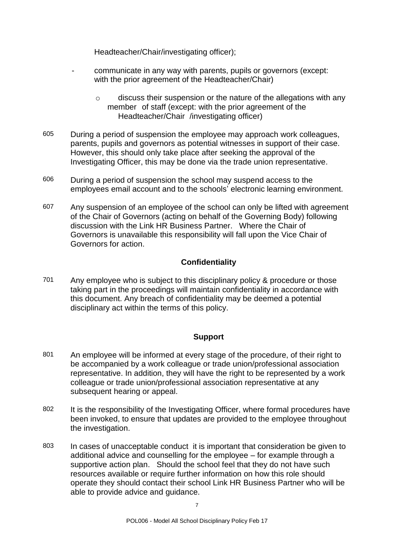Headteacher/Chair/investigating officer);

- communicate in any way with parents, pupils or governors (except: with the prior agreement of the Headteacher/Chair)
	- o discuss their suspension or the nature of the allegations with any member of staff (except: with the prior agreement of the Headteacher/Chair /investigating officer)
- 605 During a period of suspension the employee may approach work colleagues, parents, pupils and governors as potential witnesses in support of their case. However, this should only take place after seeking the approval of the Investigating Officer, this may be done via the trade union representative.
- 606 During a period of suspension the school may suspend access to the employees email account and to the schools' electronic learning environment.
- 607 Any suspension of an employee of the school can only be lifted with agreement of the Chair of Governors (acting on behalf of the Governing Body) following discussion with the Link HR Business Partner. Where the Chair of Governors is unavailable this responsibility will fall upon the Vice Chair of Governors for action.

## **Confidentiality**

<span id="page-6-0"></span>701 Any employee who is subject to this disciplinary policy & procedure or those taking part in the proceedings will maintain confidentiality in accordance with this document. Any breach of confidentiality may be deemed a potential disciplinary act within the terms of this policy.

#### **Support**

- <span id="page-6-1"></span>801 An employee will be informed at every stage of the procedure, of their right to be accompanied by a work colleague or trade union/professional association representative. In addition, they will have the right to be represented by a work colleague or trade union/professional association representative at any subsequent hearing or appeal.
- 802 It is the responsibility of the Investigating Officer, where formal procedures have been invoked, to ensure that updates are provided to the employee throughout the investigation.
- 803 In cases of unacceptable conduct it is important that consideration be given to additional advice and counselling for the employee – for example through a supportive action plan. Should the school feel that they do not have such resources available or require further information on how this role should operate they should contact their school Link HR Business Partner who will be able to provide advice and guidance.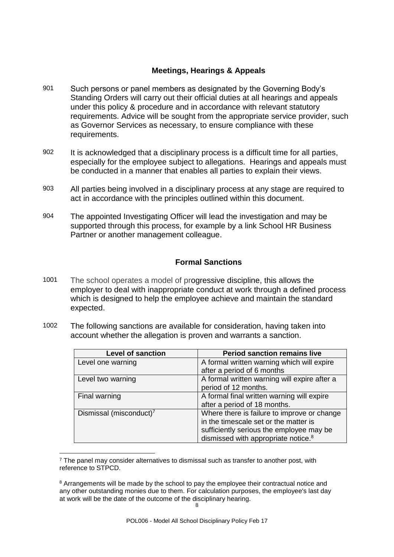#### **Meetings, Hearings & Appeals**

- <span id="page-7-0"></span>901 Such persons or panel members as designated by the Governing Body's Standing Orders will carry out their official duties at all hearings and appeals under this policy & procedure and in accordance with relevant statutory requirements. Advice will be sought from the appropriate service provider, such as Governor Services as necessary, to ensure compliance with these requirements.
- 902 It is acknowledged that a disciplinary process is a difficult time for all parties, especially for the employee subject to allegations. Hearings and appeals must be conducted in a manner that enables all parties to explain their views.
- 903 All parties being involved in a disciplinary process at any stage are required to act in accordance with the principles outlined within this document.
- 904 The appointed Investigating Officer will lead the investigation and may be supported through this process, for example by a link School HR Business Partner or another management colleague.

#### **Formal Sanctions**

- <span id="page-7-1"></span>1001 The school operates a model of progressive discipline, this allows the employer to deal with inappropriate conduct at work through a defined process which is designed to help the employee achieve and maintain the standard expected.
- 1002 The following sanctions are available for consideration, having taken into account whether the allegation is proven and warrants a sanction.

| <b>Level of sanction</b>            | <b>Period sanction remains live</b>             |
|-------------------------------------|-------------------------------------------------|
| Level one warning                   | A formal written warning which will expire      |
|                                     | after a period of 6 months                      |
| Level two warning                   | A formal written warning will expire after a    |
|                                     | period of 12 months.                            |
| Final warning                       | A formal final written warning will expire      |
|                                     | after a period of 18 months.                    |
| Dismissal (misconduct) <sup>7</sup> | Where there is failure to improve or change     |
|                                     | in the timescale set or the matter is           |
|                                     | sufficiently serious the employee may be        |
|                                     | dismissed with appropriate notice. <sup>8</sup> |

l  $<sup>7</sup>$  The panel may consider alternatives to dismissal such as transfer to another post, with</sup> reference to STPCD.

<sup>&</sup>lt;sup>8</sup> Arrangements will be made by the school to pay the employee their contractual notice and any other outstanding monies due to them. For calculation purposes, the employee's last day at work will be the date of the outcome of the disciplinary hearing.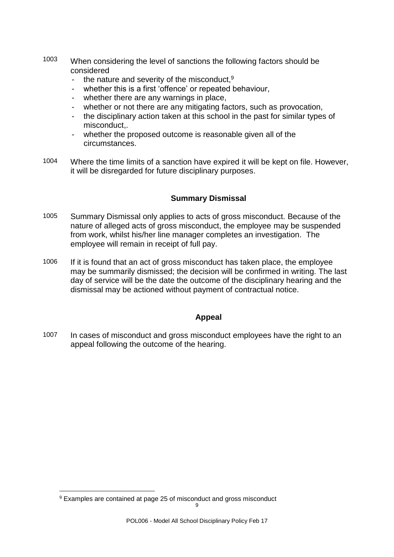- 1003 When considering the level of sanctions the following factors should be considered
	- the nature and severity of the misconduct.  $9$
	- whether this is a first 'offence' or repeated behaviour,
	- whether there are any warnings in place,
	- whether or not there are any mitigating factors, such as provocation,
	- the disciplinary action taken at this school in the past for similar types of misconduct,.
	- whether the proposed outcome is reasonable given all of the circumstances.
- 1004 Where the time limits of a sanction have expired it will be kept on file. However, it will be disregarded for future disciplinary purposes.

#### **Summary Dismissal**

- <span id="page-8-0"></span>1005 Summary Dismissal only applies to acts of gross misconduct. Because of the nature of alleged acts of gross misconduct, the employee may be suspended from work, whilst his/her line manager completes an investigation. The employee will remain in receipt of full pay.
- 1006 If it is found that an act of gross misconduct has taken place, the employee may be summarily dismissed; the decision will be confirmed in writing. The last day of service will be the date the outcome of the disciplinary hearing and the dismissal may be actioned without payment of contractual notice.

#### **Appeal**

1007 In cases of misconduct and gross misconduct employees have the right to an appeal following the outcome of the hearing.

 $\overline{a}$ 

<sup>&</sup>lt;sup>9</sup> Examples are contained at page 25 of misconduct and gross misconduct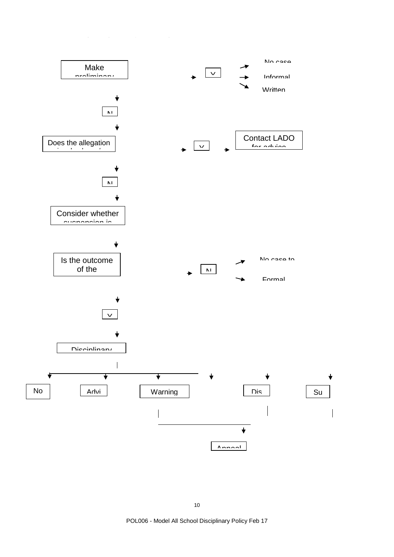

POL006 - Model All School Disciplinary Policy Feb 17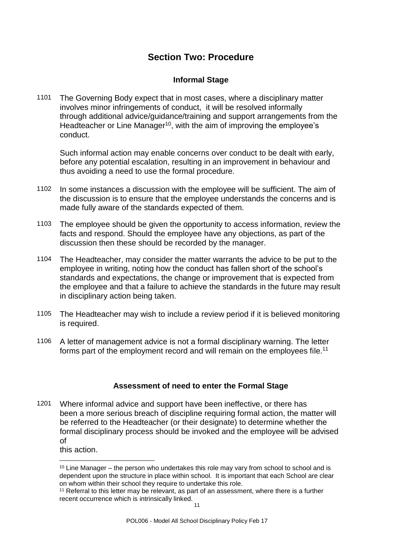# **Section Two: Procedure**

## **Informal Stage**

<span id="page-10-1"></span><span id="page-10-0"></span>1101 The Governing Body expect that in most cases, where a disciplinary matter involves minor infringements of conduct, it will be resolved informally through additional advice/guidance/training and support arrangements from the Headteacher or Line Manager<sup>10</sup>, with the aim of improving the employee's conduct.

Such informal action may enable concerns over conduct to be dealt with early, before any potential escalation, resulting in an improvement in behaviour and thus avoiding a need to use the formal procedure.

- 1102 In some instances a discussion with the employee will be sufficient. The aim of the discussion is to ensure that the employee understands the concerns and is made fully aware of the standards expected of them.
- 1103 The employee should be given the opportunity to access information, review the facts and respond. Should the employee have any objections, as part of the discussion then these should be recorded by the manager.
- 1104 The Headteacher, may consider the matter warrants the advice to be put to the employee in writing, noting how the conduct has fallen short of the school's standards and expectations, the change or improvement that is expected from the employee and that a failure to achieve the standards in the future may result in disciplinary action being taken.
- 1105 The Headteacher may wish to include a review period if it is believed monitoring is required.
- 1106 A letter of management advice is not a formal disciplinary warning. The letter forms part of the employment record and will remain on the employees file.<sup>11</sup>

#### **Assessment of need to enter the Formal Stage**

<span id="page-10-2"></span>1201 Where informal advice and support have been ineffective, or there has been a more serious breach of discipline requiring formal action, the matter will be referred to the Headteacher (or their designate) to determine whether the formal disciplinary process should be invoked and the employee will be advised of this action.

l

 $10$  Line Manager – the person who undertakes this role may vary from school to school and is dependent upon the structure in place within school. It is important that each School are clear on whom within their school they require to undertake this role.

<sup>11</sup> Referral to this letter may be relevant, as part of an assessment, where there is a further recent occurrence which is intrinsically linked.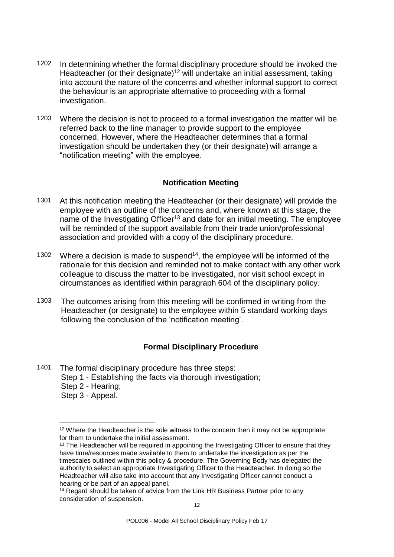- 1202 In determining whether the formal disciplinary procedure should be invoked the Headteacher (or their designate)<sup>12</sup> will undertake an initial assessment, taking into account the nature of the concerns and whether informal support to correct the behaviour is an appropriate alternative to proceeding with a formal investigation.
- 1203 Where the decision is not to proceed to a formal investigation the matter will be referred back to the line manager to provide support to the employee concerned. However, where the Headteacher determines that a formal investigation should be undertaken they (or their designate) will arrange a "notification meeting" with the employee.

## **Notification Meeting**

- <span id="page-11-0"></span>1301 At this notification meeting the Headteacher (or their designate) will provide the employee with an outline of the concerns and, where known at this stage, the name of the Investigating Officer<sup>13</sup> and date for an initial meeting. The employee will be reminded of the support available from their trade union/professional association and provided with a copy of the disciplinary procedure.
- 1302 Where a decision is made to suspend<sup>14</sup>, the employee will be informed of the rationale for this decision and reminded not to make contact with any other work colleague to discuss the matter to be investigated, nor visit school except in circumstances as identified within paragraph 604 of the disciplinary policy.
- 1303 The outcomes arising from this meeting will be confirmed in writing from the Headteacher (or designate) to the employee within 5 standard working days following the conclusion of the 'notification meeting'.

## **Formal Disciplinary Procedure**

<span id="page-11-1"></span>1401 The formal disciplinary procedure has three steps: Step 1 - Establishing the facts via thorough investigation; Step 2 - Hearing; Step 3 - Appeal.

 $\overline{a}$ 

<sup>&</sup>lt;sup>12</sup> Where the Headteacher is the sole witness to the concern then it may not be appropriate for them to undertake the initial assessment.

<sup>&</sup>lt;sup>13</sup> The Headteacher will be required in appointing the Investigating Officer to ensure that they have time/resources made available to them to undertake the investigation as per the timescales outlined within this policy & procedure. The Governing Body has delegated the authority to select an appropriate Investigating Officer to the Headteacher. In doing so the Headteacher will also take into account that any Investigating Officer cannot conduct a hearing or be part of an appeal panel.

<sup>&</sup>lt;sup>14</sup> Regard should be taken of advice from the Link HR Business Partner prior to any consideration of suspension.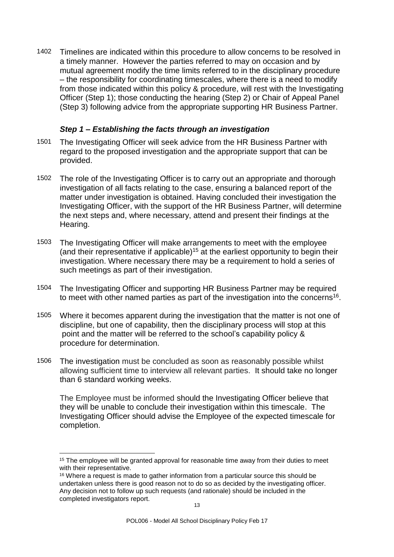1402 Timelines are indicated within this procedure to allow concerns to be resolved in a timely manner. However the parties referred to may on occasion and by mutual agreement modify the time limits referred to in the disciplinary procedure – the responsibility for coordinating timescales, where there is a need to modify from those indicated within this policy & procedure, will rest with the Investigating Officer (Step 1); those conducting the hearing (Step 2) or Chair of Appeal Panel (Step 3) following advice from the appropriate supporting HR Business Partner.

#### <span id="page-12-0"></span>*Step 1 – Establishing the facts through an investigation*

- 1501 The Investigating Officer will seek advice from the HR Business Partner with regard to the proposed investigation and the appropriate support that can be provided.
- 1502 The role of the Investigating Officer is to carry out an appropriate and thorough investigation of all facts relating to the case, ensuring a balanced report of the matter under investigation is obtained. Having concluded their investigation the Investigating Officer, with the support of the HR Business Partner, will determine the next steps and, where necessary, attend and present their findings at the Hearing.
- 1503 The Investigating Officer will make arrangements to meet with the employee (and their representative if applicable)<sup>15</sup> at the earliest opportunity to begin their investigation. Where necessary there may be a requirement to hold a series of such meetings as part of their investigation.
- 1504 The Investigating Officer and supporting HR Business Partner may be required to meet with other named parties as part of the investigation into the concerns<sup>16</sup>.
- 1505 Where it becomes apparent during the investigation that the matter is not one of discipline, but one of capability, then the disciplinary process will stop at this point and the matter will be referred to the school's capability policy & procedure for determination.
- 1506 The investigation must be concluded as soon as reasonably possible whilst allowing sufficient time to interview all relevant parties. It should take no longer than 6 standard working weeks.

The Employee must be informed should the Investigating Officer believe that they will be unable to conclude their investigation within this timescale. The Investigating Officer should advise the Employee of the expected timescale for completion.

l

<sup>&</sup>lt;sup>15</sup> The employee will be granted approval for reasonable time away from their duties to meet with their representative.

<sup>&</sup>lt;sup>16</sup> Where a request is made to gather information from a particular source this should be undertaken unless there is good reason not to do so as decided by the investigating officer. Any decision not to follow up such requests (and rationale) should be included in the completed investigators report.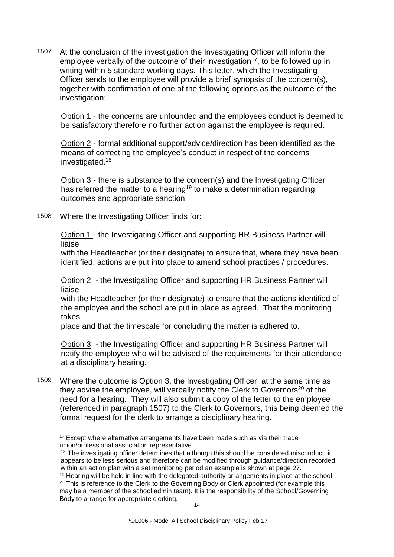1507 At the conclusion of the investigation the Investigating Officer will inform the employee verbally of the outcome of their investigation<sup>17</sup>, to be followed up in writing within 5 standard working days. This letter, which the Investigating Officer sends to the employee will provide a brief synopsis of the concern(s), together with confirmation of one of the following options as the outcome of the investigation:

Option 1 - the concerns are unfounded and the employees conduct is deemed to be satisfactory therefore no further action against the employee is required.

Option 2 - formal additional support/advice/direction has been identified as the means of correcting the employee's conduct in respect of the concerns investigated.<sup>18</sup>

Option 3 - there is substance to the concern(s) and the Investigating Officer has referred the matter to a hearing<sup>19</sup> to make a determination regarding outcomes and appropriate sanction.

1508 Where the Investigating Officer finds for:

 $\overline{a}$ 

Option 1 - the Investigating Officer and supporting HR Business Partner will liaise

with the Headteacher (or their designate) to ensure that, where they have been identified, actions are put into place to amend school practices / procedures.

Option 2 - the Investigating Officer and supporting HR Business Partner will liaise

with the Headteacher (or their designate) to ensure that the actions identified of the employee and the school are put in place as agreed. That the monitoring takes

place and that the timescale for concluding the matter is adhered to.

Option 3 - the Investigating Officer and supporting HR Business Partner will notify the employee who will be advised of the requirements for their attendance at a disciplinary hearing.

1509 Where the outcome is Option 3, the Investigating Officer, at the same time as they advise the employee, will verbally notify the Clerk to Governors<sup>20</sup> of the need for a hearing. They will also submit a copy of the letter to the employee (referenced in paragraph 1507) to the Clerk to Governors, this being deemed the formal request for the clerk to arrange a disciplinary hearing.

<sup>&</sup>lt;sup>17</sup> Except where alternative arrangements have been made such as via their trade union/professional association representative.

<sup>&</sup>lt;sup>18</sup> The investigating officer determines that although this should be considered misconduct, it appears to be less serious and therefore can be modified through guidance/direction recorded within an action plan with a set monitoring period an example is shown at page 27.

<sup>&</sup>lt;sup>19</sup> Hearing will be held in line with the delegated authority arrangements in place at the school <sup>20</sup> This is reference to the Clerk to the Governing Body or Clerk appointed (for example this may be a member of the school admin team). It is the responsibility of the School/Governing Body to arrange for appropriate clerking.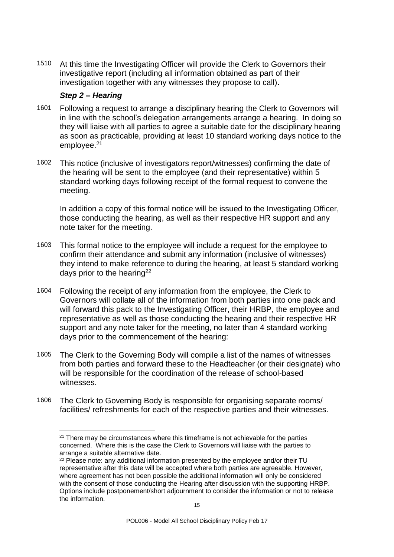1510 At this time the Investigating Officer will provide the Clerk to Governors their investigative report (including all information obtained as part of their investigation together with any witnesses they propose to call).

#### <span id="page-14-0"></span>*Step 2 – Hearing*

 $\overline{a}$ 

- 1601 Following a request to arrange a disciplinary hearing the Clerk to Governors will in line with the school's delegation arrangements arrange a hearing. In doing so they will liaise with all parties to agree a suitable date for the disciplinary hearing as soon as practicable, providing at least 10 standard working days notice to the employee.<sup>21</sup>
- 1602 This notice (inclusive of investigators report/witnesses) confirming the date of the hearing will be sent to the employee (and their representative) within 5 standard working days following receipt of the formal request to convene the meeting.

In addition a copy of this formal notice will be issued to the Investigating Officer, those conducting the hearing, as well as their respective HR support and any note taker for the meeting.

- 1603 This formal notice to the employee will include a request for the employee to confirm their attendance and submit any information (inclusive of witnesses) they intend to make reference to during the hearing, at least 5 standard working days prior to the hearing<sup>22</sup>
- 1604 Following the receipt of any information from the employee, the Clerk to Governors will collate all of the information from both parties into one pack and will forward this pack to the Investigating Officer, their HRBP, the employee and representative as well as those conducting the hearing and their respective HR support and any note taker for the meeting, no later than 4 standard working days prior to the commencement of the hearing:
- 1605 The Clerk to the Governing Body will compile a list of the names of witnesses from both parties and forward these to the Headteacher (or their designate) who will be responsible for the coordination of the release of school-based witnesses.
- 1606 The Clerk to Governing Body is responsible for organising separate rooms/ facilities/ refreshments for each of the respective parties and their witnesses.

<sup>&</sup>lt;sup>21</sup> There may be circumstances where this timeframe is not achievable for the parties concerned. Where this is the case the Clerk to Governors will liaise with the parties to arrange a suitable alternative date.

<sup>&</sup>lt;sup>22</sup> Please note: any additional information presented by the employee and/or their TU representative after this date will be accepted where both parties are agreeable. However, where agreement has not been possible the additional information will only be considered with the consent of those conducting the Hearing after discussion with the supporting HRBP. Options include postponement/short adjournment to consider the information or not to release the information.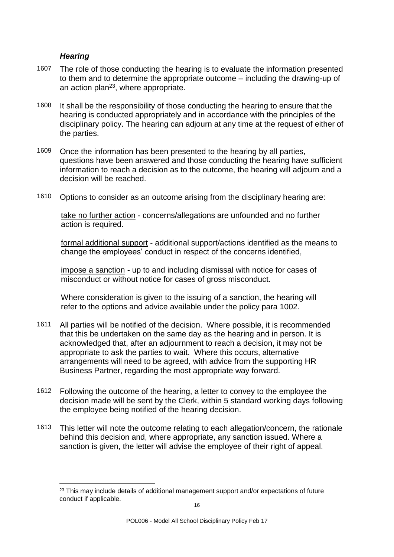#### *Hearing*

l

- 1607 The role of those conducting the hearing is to evaluate the information presented to them and to determine the appropriate outcome – including the drawing-up of an action plan<sup>23</sup>, where appropriate.
- 1608 It shall be the responsibility of those conducting the hearing to ensure that the hearing is conducted appropriately and in accordance with the principles of the disciplinary policy. The hearing can adjourn at any time at the request of either of the parties.
- 1609 Once the information has been presented to the hearing by all parties, questions have been answered and those conducting the hearing have sufficient information to reach a decision as to the outcome, the hearing will adjourn and a decision will be reached.
- 1610 Options to consider as an outcome arising from the disciplinary hearing are:

take no further action - concerns/allegations are unfounded and no further action is required.

formal additional support - additional support/actions identified as the means to change the employees' conduct in respect of the concerns identified,

impose a sanction - up to and including dismissal with notice for cases of misconduct or without notice for cases of gross misconduct.

Where consideration is given to the issuing of a sanction, the hearing will refer to the options and advice available under the policy para 1002.

- 1611 All parties will be notified of the decision. Where possible, it is recommended that this be undertaken on the same day as the hearing and in person. It is acknowledged that, after an adjournment to reach a decision, it may not be appropriate to ask the parties to wait. Where this occurs, alternative arrangements will need to be agreed, with advice from the supporting HR Business Partner, regarding the most appropriate way forward.
- 1612 Following the outcome of the hearing, a letter to convey to the employee the decision made will be sent by the Clerk, within 5 standard working days following the employee being notified of the hearing decision.
- 1613 This letter will note the outcome relating to each allegation/concern, the rationale behind this decision and, where appropriate, any sanction issued. Where a sanction is given, the letter will advise the employee of their right of appeal.

<sup>&</sup>lt;sup>23</sup> This may include details of additional management support and/or expectations of future conduct if applicable.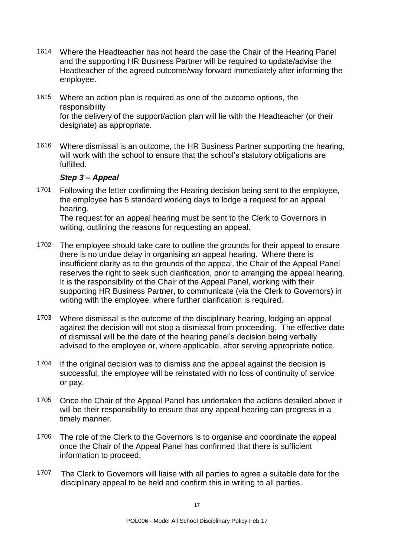- 1614 Where the Headteacher has not heard the case the Chair of the Hearing Panel and the supporting HR Business Partner will be required to update/advise the Headteacher of the agreed outcome/way forward immediately after informing the employee.
- 1615 Where an action plan is required as one of the outcome options, the responsibility for the delivery of the support/action plan will lie with the Headteacher (or their designate) as appropriate.
- 1616 Where dismissal is an outcome, the HR Business Partner supporting the hearing, will work with the school to ensure that the school's statutory obligations are fulfilled.

#### <span id="page-16-0"></span>*Step 3 – Appeal*

1701 Following the letter confirming the Hearing decision being sent to the employee, the employee has 5 standard working days to lodge a request for an appeal hearing.

The request for an appeal hearing must be sent to the Clerk to Governors in writing, outlining the reasons for requesting an appeal.

- 1702 The employee should take care to outline the grounds for their appeal to ensure there is no undue delay in organising an appeal hearing. Where there is insufficient clarity as to the grounds of the appeal, the Chair of the Appeal Panel reserves the right to seek such clarification, prior to arranging the appeal hearing. It is the responsibility of the Chair of the Appeal Panel, working with their supporting HR Business Partner, to communicate (via the Clerk to Governors) in writing with the employee, where further clarification is required.
- 1703 Where dismissal is the outcome of the disciplinary hearing, lodging an appeal against the decision will not stop a dismissal from proceeding. The effective date of dismissal will be the date of the hearing panel's decision being verbally advised to the employee or, where applicable, after serving appropriate notice.
- 1704 If the original decision was to dismiss and the appeal against the decision is successful, the employee will be reinstated with no loss of continuity of service or pay.
- 1705 Once the Chair of the Appeal Panel has undertaken the actions detailed above it will be their responsibility to ensure that any appeal hearing can progress in a timely manner.
- 1706 The role of the Clerk to the Governors is to organise and coordinate the appeal once the Chair of the Appeal Panel has confirmed that there is sufficient information to proceed.
- 1707 The Clerk to Governors will liaise with all parties to agree a suitable date for the disciplinary appeal to be held and confirm this in writing to all parties.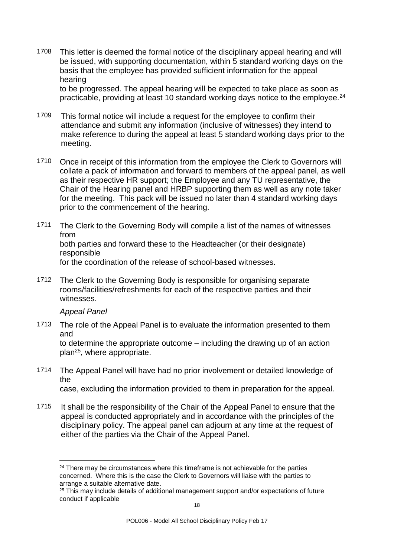1708 This letter is deemed the formal notice of the disciplinary appeal hearing and will be issued, with supporting documentation, within 5 standard working days on the basis that the employee has provided sufficient information for the appeal hearing

to be progressed. The appeal hearing will be expected to take place as soon as practicable, providing at least 10 standard working days notice to the employee. $^{24}$ 

- 1709 This formal notice will include a request for the employee to confirm their attendance and submit any information (inclusive of witnesses) they intend to make reference to during the appeal at least 5 standard working days prior to the meeting.
- 1710 Once in receipt of this information from the employee the Clerk to Governors will collate a pack of information and forward to members of the appeal panel, as well as their respective HR support; the Employee and any TU representative, the Chair of the Hearing panel and HRBP supporting them as well as any note taker for the meeting. This pack will be issued no later than 4 standard working days prior to the commencement of the hearing.
- 1711 The Clerk to the Governing Body will compile a list of the names of witnesses from both parties and forward these to the Headteacher (or their designate) responsible for the coordination of the release of school-based witnesses.
- 1712 The Clerk to the Governing Body is responsible for organising separate rooms/facilities/refreshments for each of the respective parties and their witnesses.

#### *Appeal Panel*

l

1713 The role of the Appeal Panel is to evaluate the information presented to them and to determine the appropriate outcome – including the drawing up of an action

plan<sup>25</sup>, where appropriate.

1714 The Appeal Panel will have had no prior involvement or detailed knowledge of the case, excluding the information provided to them in preparation for the appeal.

1715 It shall be the responsibility of the Chair of the Appeal Panel to ensure that the

appeal is conducted appropriately and in accordance with the principles of the disciplinary policy. The appeal panel can adjourn at any time at the request of either of the parties via the Chair of the Appeal Panel.

 $24$  There may be circumstances where this timeframe is not achievable for the parties concerned. Where this is the case the Clerk to Governors will liaise with the parties to arrange a suitable alternative date.

<sup>&</sup>lt;sup>25</sup> This may include details of additional management support and/or expectations of future conduct if applicable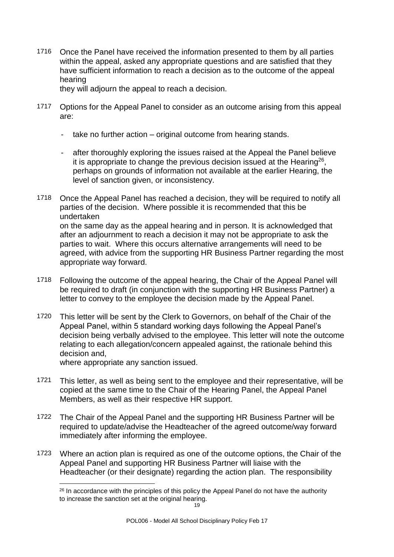1716 Once the Panel have received the information presented to them by all parties within the appeal, asked any appropriate questions and are satisfied that they have sufficient information to reach a decision as to the outcome of the appeal hearing

they will adjourn the appeal to reach a decision.

- 1717 Options for the Appeal Panel to consider as an outcome arising from this appeal are:
	- take no further action original outcome from hearing stands.
	- after thoroughly exploring the issues raised at the Appeal the Panel believe it is appropriate to change the previous decision issued at the Hearing<sup>26</sup>, perhaps on grounds of information not available at the earlier Hearing, the level of sanction given, or inconsistency.
- 1718 Once the Appeal Panel has reached a decision, they will be required to notify all parties of the decision. Where possible it is recommended that this be undertaken on the same day as the appeal hearing and in person. It is acknowledged that after an adjournment to reach a decision it may not be appropriate to ask the parties to wait. Where this occurs alternative arrangements will need to be agreed, with advice from the supporting HR Business Partner regarding the most appropriate way forward.
- 1718 Following the outcome of the appeal hearing, the Chair of the Appeal Panel will be required to draft (in conjunction with the supporting HR Business Partner) a letter to convey to the employee the decision made by the Appeal Panel.
- 1720 This letter will be sent by the Clerk to Governors, on behalf of the Chair of the Appeal Panel, within 5 standard working days following the Appeal Panel's decision being verbally advised to the employee. This letter will note the outcome relating to each allegation/concern appealed against, the rationale behind this decision and,

where appropriate any sanction issued.

l

- 1721 This letter, as well as being sent to the employee and their representative, will be copied at the same time to the Chair of the Hearing Panel, the Appeal Panel Members, as well as their respective HR support.
- 1722 The Chair of the Appeal Panel and the supporting HR Business Partner will be required to update/advise the Headteacher of the agreed outcome/way forward immediately after informing the employee.
- 1723 Where an action plan is required as one of the outcome options, the Chair of the Appeal Panel and supporting HR Business Partner will liaise with the Headteacher (or their designate) regarding the action plan. The responsibility

<sup>&</sup>lt;sup>26</sup> In accordance with the principles of this policy the Appeal Panel do not have the authority to increase the sanction set at the original hearing.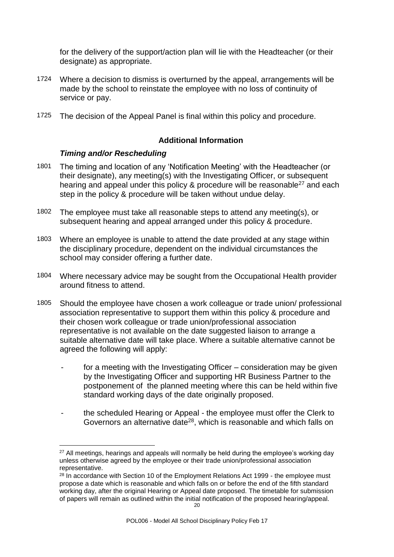for the delivery of the support/action plan will lie with the Headteacher (or their designate) as appropriate.

- 1724 Where a decision to dismiss is overturned by the appeal, arrangements will be made by the school to reinstate the employee with no loss of continuity of service or pay.
- 1725 The decision of the Appeal Panel is final within this policy and procedure.

#### **Additional Information**

#### <span id="page-19-1"></span><span id="page-19-0"></span>*Timing and/or Rescheduling*

 $\overline{a}$ 

- 1801 The timing and location of any 'Notification Meeting' with the Headteacher (or their designate), any meeting(s) with the Investigating Officer, or subsequent hearing and appeal under this policy & procedure will be reasonable<sup>27</sup> and each step in the policy & procedure will be taken without undue delay.
- 1802 The employee must take all reasonable steps to attend any meeting(s), or subsequent hearing and appeal arranged under this policy & procedure.
- 1803 Where an employee is unable to attend the date provided at any stage within the disciplinary procedure, dependent on the individual circumstances the school may consider offering a further date.
- 1804 Where necessary advice may be sought from the Occupational Health provider around fitness to attend.
- 1805 Should the employee have chosen a work colleague or trade union/ professional association representative to support them within this policy & procedure and their chosen work colleague or trade union/professional association representative is not available on the date suggested liaison to arrange a suitable alternative date will take place. Where a suitable alternative cannot be agreed the following will apply:
	- for a meeting with the Investigating Officer consideration may be given by the Investigating Officer and supporting HR Business Partner to the postponement of the planned meeting where this can be held within five standard working days of the date originally proposed.
	- the scheduled Hearing or Appeal the employee must offer the Clerk to Governors an alternative date<sup>28</sup>, which is reasonable and which falls on

 $27$  All meetings, hearings and appeals will normally be held during the employee's working day unless otherwise agreed by the employee or their trade union/professional association representative.

 $28$  In accordance with Section 10 of the Employment Relations Act 1999 - the employee must propose a date which is reasonable and which falls on or before the end of the fifth standard working day, after the original Hearing or Appeal date proposed. The timetable for submission of papers will remain as outlined within the initial notification of the proposed hearing/appeal.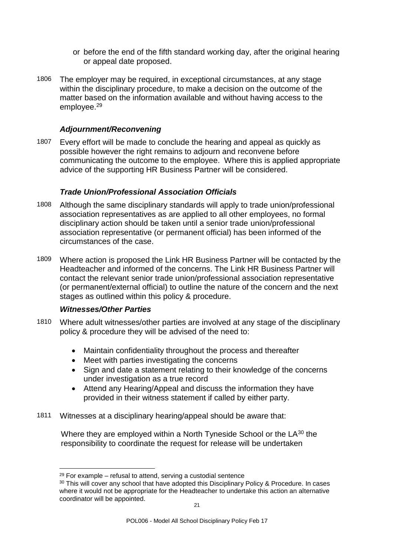- or before the end of the fifth standard working day, after the original hearing or appeal date proposed.
- 1806 The employer may be required, in exceptional circumstances, at any stage within the disciplinary procedure, to make a decision on the outcome of the matter based on the information available and without having access to the employee.<sup>29</sup>

#### <span id="page-20-0"></span>*Adjournment/Reconvening*

1807 Every effort will be made to conclude the hearing and appeal as quickly as possible however the right remains to adjourn and reconvene before communicating the outcome to the employee. Where this is applied appropriate advice of the supporting HR Business Partner will be considered.

#### <span id="page-20-1"></span>*Trade Union/Professional Association Officials*

- 1808 Although the same disciplinary standards will apply to trade union/professional association representatives as are applied to all other employees, no formal disciplinary action should be taken until a senior trade union/professional association representative (or permanent official) has been informed of the circumstances of the case.
- 1809 Where action is proposed the Link HR Business Partner will be contacted by the Headteacher and informed of the concerns. The Link HR Business Partner will contact the relevant senior trade union/professional association representative (or permanent/external official) to outline the nature of the concern and the next stages as outlined within this policy & procedure.

#### <span id="page-20-2"></span>*Witnesses/Other Parties*

- 1810 Where adult witnesses/other parties are involved at any stage of the disciplinary policy & procedure they will be advised of the need to:
	- Maintain confidentiality throughout the process and thereafter
	- Meet with parties investigating the concerns
	- Sign and date a statement relating to their knowledge of the concerns under investigation as a true record
	- Attend any Hearing/Appeal and discuss the information they have provided in their witness statement if called by either party.
- 1811 Witnesses at a disciplinary hearing/appeal should be aware that:

Where they are employed within a North Tyneside School or the LA<sup>30</sup> the responsibility to coordinate the request for release will be undertaken

 $\overline{a}$  $29$  For example – refusal to attend, serving a custodial sentence

<sup>&</sup>lt;sup>30</sup> This will cover any school that have adopted this Disciplinary Policy & Procedure. In cases where it would not be appropriate for the Headteacher to undertake this action an alternative coordinator will be appointed.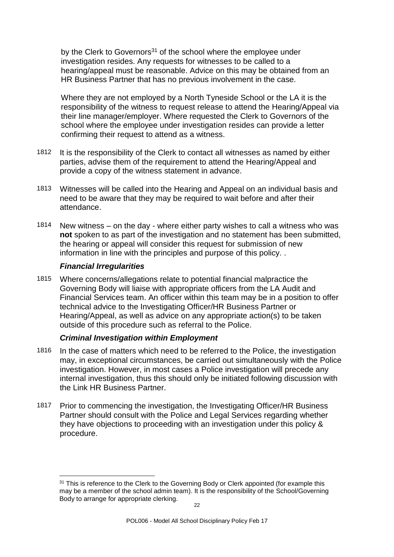by the Clerk to Governors $31$  of the school where the employee under investigation resides. Any requests for witnesses to be called to a hearing/appeal must be reasonable. Advice on this may be obtained from an HR Business Partner that has no previous involvement in the case.

Where they are not employed by a North Tyneside School or the LA it is the responsibility of the witness to request release to attend the Hearing/Appeal via their line manager/employer. Where requested the Clerk to Governors of the school where the employee under investigation resides can provide a letter confirming their request to attend as a witness.

- 1812 It is the responsibility of the Clerk to contact all witnesses as named by either parties, advise them of the requirement to attend the Hearing/Appeal and provide a copy of the witness statement in advance.
- 1813 Witnesses will be called into the Hearing and Appeal on an individual basis and need to be aware that they may be required to wait before and after their attendance.
- 1814 New witness on the day where either party wishes to call a witness who was **not** spoken to as part of the investigation and no statement has been submitted, the hearing or appeal will consider this request for submission of new information in line with the principles and purpose of this policy. .

#### <span id="page-21-0"></span>*Financial Irregularities*

l

1815 Where concerns/allegations relate to potential financial malpractice the Governing Body will liaise with appropriate officers from the LA Audit and Financial Services team. An officer within this team may be in a position to offer technical advice to the Investigating Officer/HR Business Partner or Hearing/Appeal, as well as advice on any appropriate action(s) to be taken outside of this procedure such as referral to the Police.

#### <span id="page-21-1"></span>*Criminal Investigation within Employment*

- 1816 In the case of matters which need to be referred to the Police, the investigation may, in exceptional circumstances, be carried out simultaneously with the Police investigation. However, in most cases a Police investigation will precede any internal investigation, thus this should only be initiated following discussion with the Link HR Business Partner.
- 1817 Prior to commencing the investigation, the Investigating Officer/HR Business Partner should consult with the Police and Legal Services regarding whether they have objections to proceeding with an investigation under this policy & procedure.

<sup>&</sup>lt;sup>31</sup> This is reference to the Clerk to the Governing Body or Clerk appointed (for example this may be a member of the school admin team). It is the responsibility of the School/Governing Body to arrange for appropriate clerking.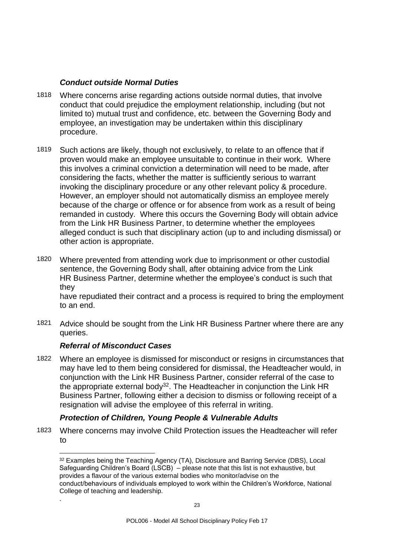## <span id="page-22-0"></span>*Conduct outside Normal Duties*

- 1818 Where concerns arise regarding actions outside normal duties, that involve conduct that could prejudice the employment relationship, including (but not limited to) mutual trust and confidence, etc. between the Governing Body and employee, an investigation may be undertaken within this disciplinary procedure.
- 1819 Such actions are likely, though not exclusively, to relate to an offence that if proven would make an employee unsuitable to continue in their work. Where this involves a criminal conviction a determination will need to be made, after considering the facts, whether the matter is sufficiently serious to warrant invoking the disciplinary procedure or any other relevant policy & procedure. However, an employer should not automatically dismiss an employee merely because of the charge or offence or for absence from work as a result of being remanded in custody. Where this occurs the Governing Body will obtain advice from the Link HR Business Partner, to determine whether the employees alleged conduct is such that disciplinary action (up to and including dismissal) or other action is appropriate.
- 1820 Where prevented from attending work due to imprisonment or other custodial sentence, the Governing Body shall, after obtaining advice from the Link HR Business Partner, determine whether the employee's conduct is such that they

have repudiated their contract and a process is required to bring the employment to an end.

1821 Advice should be sought from the Link HR Business Partner where there are any queries.

#### <span id="page-22-1"></span>*Referral of Misconduct Cases*

l

.

1822 Where an employee is dismissed for misconduct or resigns in circumstances that may have led to them being considered for dismissal, the Headteacher would, in conjunction with the Link HR Business Partner, consider referral of the case to the appropriate external body<sup>32</sup>. The Headteacher in conjunction the Link HR Business Partner, following either a decision to dismiss or following receipt of a resignation will advise the employee of this referral in writing.

## <span id="page-22-2"></span>*Protection of Children, Young People & Vulnerable Adults*

1823 Where concerns may involve Child Protection issues the Headteacher will refer to

<sup>&</sup>lt;sup>32</sup> Examples being the Teaching Agency (TA), Disclosure and Barring Service (DBS), Local Safeguarding Children's Board (LSCB) – please note that this list is not exhaustive, but provides a flavour of the various external bodies who monitor/advise on the conduct/behaviours of individuals employed to work within the Children's Workforce, National College of teaching and leadership.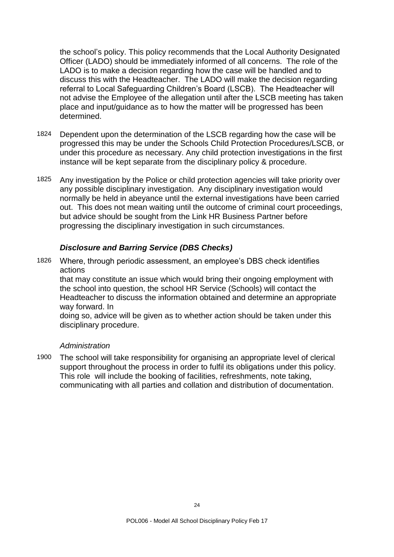the school's policy. This policy recommends that the Local Authority Designated Officer (LADO) should be immediately informed of all concerns. The role of the LADO is to make a decision regarding how the case will be handled and to discuss this with the Headteacher. The LADO will make the decision regarding referral to Local Safeguarding Children's Board (LSCB). The Headteacher will not advise the Employee of the allegation until after the LSCB meeting has taken place and input/guidance as to how the matter will be progressed has been determined.

- 1824 Dependent upon the determination of the LSCB regarding how the case will be progressed this may be under the Schools Child Protection Procedures/LSCB, or under this procedure as necessary. Any child protection investigations in the first instance will be kept separate from the disciplinary policy & procedure.
- 1825 Any investigation by the Police or child protection agencies will take priority over any possible disciplinary investigation. Any disciplinary investigation would normally be held in abeyance until the external investigations have been carried out. This does not mean waiting until the outcome of criminal court proceedings, but advice should be sought from the Link HR Business Partner before progressing the disciplinary investigation in such circumstances.

#### <span id="page-23-0"></span>*Disclosure and Barring Service (DBS Checks)*

1826 Where, through periodic assessment, an employee's DBS check identifies actions that may constitute an issue which would bring their ongoing employment with the school into question, the school HR Service (Schools) will contact the Headteacher to discuss the information obtained and determine an appropriate way forward. In doing so, advice will be given as to whether action should be taken under this disciplinary procedure.

#### *Administration*

1900 The school will take responsibility for organising an appropriate level of clerical support throughout the process in order to fulfil its obligations under this policy. This role will include the booking of facilities, refreshments, note taking, communicating with all parties and collation and distribution of documentation.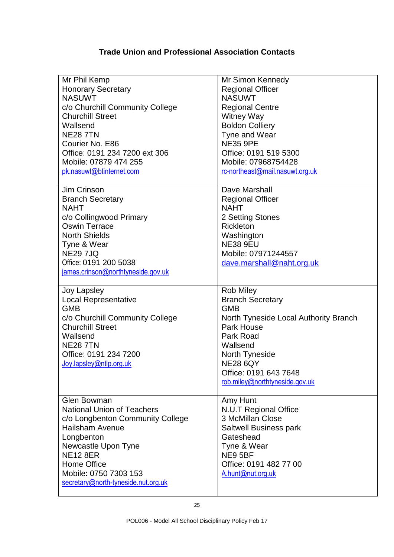# **Trade Union and Professional Association Contacts**

<span id="page-24-0"></span>

| Mr Phil Kemp                           | Mr Simon Kennedy                      |
|----------------------------------------|---------------------------------------|
| <b>Honorary Secretary</b>              | <b>Regional Officer</b>               |
| <b>NASUWT</b>                          | <b>NASUWT</b>                         |
| c/o Churchill Community College        | <b>Regional Centre</b>                |
| <b>Churchill Street</b>                | <b>Witney Way</b>                     |
| Wallsend                               |                                       |
|                                        | <b>Boldon Colliery</b>                |
| <b>NE287TN</b>                         | Tyne and Wear                         |
| Courier No. E86                        | <b>NE35 9PE</b>                       |
| Office: 0191 234 7200 ext 306          | Office: 0191 519 5300                 |
| Mobile: 07879 474 255                  | Mobile: 07968754428                   |
| pk.nasuwt@btinternet.com               | rc-northeast@mail.nasuwt.org.uk       |
| Jim Crinson                            | Dave Marshall                         |
| <b>Branch Secretary</b>                | <b>Regional Officer</b>               |
| <b>NAHT</b>                            | <b>NAHT</b>                           |
| c/o Collingwood Primary                | 2 Setting Stones                      |
| <b>Oswin Terrace</b>                   | <b>Rickleton</b>                      |
| <b>North Shields</b>                   | Washington                            |
| Tyne & Wear                            | <b>NE38 9EU</b>                       |
| <b>NE29 7JQ</b>                        | Mobile: 07971244557                   |
| Office: 0191 200 5038                  | dave.marshall@naht.org.uk             |
| james.crinson@northtyneside.gov.uk     |                                       |
|                                        |                                       |
|                                        |                                       |
|                                        |                                       |
| <b>Joy Lapsley</b>                     | <b>Rob Miley</b>                      |
| <b>Local Representative</b>            | <b>Branch Secretary</b>               |
| <b>GMB</b>                             | <b>GMB</b>                            |
| c/o Churchill Community College        | North Tyneside Local Authority Branch |
| <b>Churchill Street</b>                | Park House                            |
| Wallsend                               | Park Road                             |
| <b>NE287TN</b>                         | Wallsend                              |
| Office: 0191 234 7200                  | North Tyneside                        |
| Joy.lapsley@ntlp.org.uk                | <b>NE28 6QY</b>                       |
|                                        | Office: 0191 643 7648                 |
|                                        | rob.miley@northtyneside.gov.uk        |
|                                        |                                       |
| <b>Glen Bowman</b>                     | Amy Hunt                              |
| <b>National Union of Teachers</b>      | N.U.T Regional Office                 |
| c/o Longbenton Community College       | 3 McMillan Close                      |
| <b>Hailsham Avenue</b>                 | <b>Saltwell Business park</b>         |
|                                        | Gateshead                             |
| Longbenton                             |                                       |
| Newcastle Upon Tyne<br><b>NE12 8ER</b> | Tyne & Wear<br>NE9 5BF                |
|                                        |                                       |
| <b>Home Office</b>                     | Office: 0191 482 77 00                |
| Mobile: 0750 7303 153                  | A.hunt@nut.org.uk                     |
| secretary@north-tyneside.nut.org.uk    |                                       |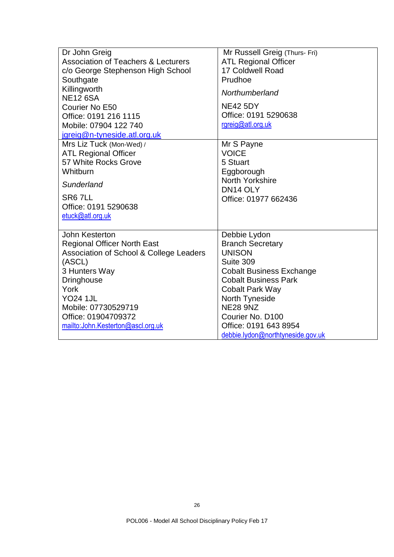| Dr John Greig<br><b>Association of Teachers &amp; Lecturers</b><br>c/o George Stephenson High School<br>Southgate<br>Killingworth<br><b>NE12 6SA</b>                                                                                                          | Mr Russell Greig (Thurs- Fri)<br><b>ATL Regional Officer</b><br>17 Coldwell Road<br>Prudhoe<br>Northumberland                                                                                                                                                                            |
|---------------------------------------------------------------------------------------------------------------------------------------------------------------------------------------------------------------------------------------------------------------|------------------------------------------------------------------------------------------------------------------------------------------------------------------------------------------------------------------------------------------------------------------------------------------|
| Courier No E50<br>Office: 0191 216 1115<br>Mobile: 07904 122 740<br>jgreig@n-tyneside.atl.org.uk                                                                                                                                                              | <b>NE42 5DY</b><br>Office: 0191 5290638<br>rgreig@atl.org.uk                                                                                                                                                                                                                             |
| Mrs Liz Tuck (Mon-Wed) /<br><b>ATL Regional Officer</b><br>57 White Rocks Grove<br>Whitburn<br>Sunderland                                                                                                                                                     | Mr S Payne<br><b>VOICE</b><br>5 Stuart<br>Eggborough<br>North Yorkshire<br>DN <sub>14</sub> OLY                                                                                                                                                                                          |
| SR67LL<br>Office: 0191 5290638<br>etuck@atl.org.uk                                                                                                                                                                                                            | Office: 01977 662436                                                                                                                                                                                                                                                                     |
| John Kesterton<br><b>Regional Officer North East</b><br>Association of School & College Leaders<br>(ASCL)<br>3 Hunters Way<br><b>Dringhouse</b><br>York<br><b>YO24 1JL</b><br>Mobile: 07730529719<br>Office: 01904709372<br>mailto:John.Kesterton@ascl.org.uk | Debbie Lydon<br><b>Branch Secretary</b><br><b>UNISON</b><br>Suite 309<br><b>Cobalt Business Exchange</b><br><b>Cobalt Business Park</b><br><b>Cobalt Park Way</b><br>North Tyneside<br><b>NE28 9NZ</b><br>Courier No. D100<br>Office: 0191 643 8954<br>debbie.lydon@northtyneside.gov.uk |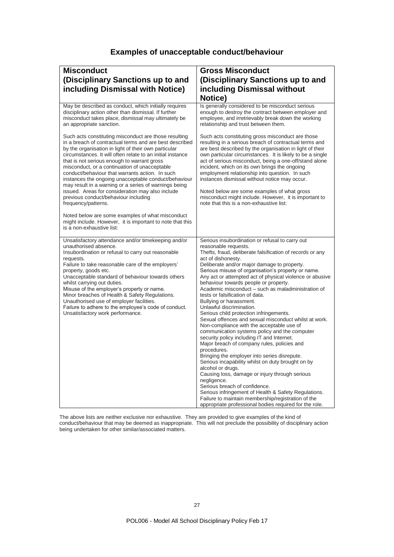# **Examples of unacceptable conduct/behaviour**

<span id="page-26-0"></span>

| <b>Misconduct</b>                                                                                                                                                                                                                                                                                                                                                                                                                                                                                                                                                                                                             | <b>Gross Misconduct</b>                                                                                                                                                                                                                                                                                                                                                                                                                                                                                                                                                                                                                                                                                                                                                                                                                                                                                                                                                                                                                                                                                                                                                                                                                |  |  |
|-------------------------------------------------------------------------------------------------------------------------------------------------------------------------------------------------------------------------------------------------------------------------------------------------------------------------------------------------------------------------------------------------------------------------------------------------------------------------------------------------------------------------------------------------------------------------------------------------------------------------------|----------------------------------------------------------------------------------------------------------------------------------------------------------------------------------------------------------------------------------------------------------------------------------------------------------------------------------------------------------------------------------------------------------------------------------------------------------------------------------------------------------------------------------------------------------------------------------------------------------------------------------------------------------------------------------------------------------------------------------------------------------------------------------------------------------------------------------------------------------------------------------------------------------------------------------------------------------------------------------------------------------------------------------------------------------------------------------------------------------------------------------------------------------------------------------------------------------------------------------------|--|--|
| (Disciplinary Sanctions up to and                                                                                                                                                                                                                                                                                                                                                                                                                                                                                                                                                                                             | (Disciplinary Sanctions up to and                                                                                                                                                                                                                                                                                                                                                                                                                                                                                                                                                                                                                                                                                                                                                                                                                                                                                                                                                                                                                                                                                                                                                                                                      |  |  |
|                                                                                                                                                                                                                                                                                                                                                                                                                                                                                                                                                                                                                               |                                                                                                                                                                                                                                                                                                                                                                                                                                                                                                                                                                                                                                                                                                                                                                                                                                                                                                                                                                                                                                                                                                                                                                                                                                        |  |  |
| including Dismissal with Notice)                                                                                                                                                                                                                                                                                                                                                                                                                                                                                                                                                                                              | including Dismissal without                                                                                                                                                                                                                                                                                                                                                                                                                                                                                                                                                                                                                                                                                                                                                                                                                                                                                                                                                                                                                                                                                                                                                                                                            |  |  |
|                                                                                                                                                                                                                                                                                                                                                                                                                                                                                                                                                                                                                               | Notice)                                                                                                                                                                                                                                                                                                                                                                                                                                                                                                                                                                                                                                                                                                                                                                                                                                                                                                                                                                                                                                                                                                                                                                                                                                |  |  |
| May be described as conduct, which initially requires<br>disciplinary action other than dismissal. If further<br>misconduct takes place, dismissal may ultimately be<br>an appropriate sanction.                                                                                                                                                                                                                                                                                                                                                                                                                              | Is generally considered to be misconduct serious<br>enough to destroy the contract between employer and<br>employee, and irretrievably break down the working<br>relationship and trust between them.                                                                                                                                                                                                                                                                                                                                                                                                                                                                                                                                                                                                                                                                                                                                                                                                                                                                                                                                                                                                                                  |  |  |
| Such acts constituting misconduct are those resulting<br>in a breach of contractual terms and are best described<br>by the organisation in light of their own particular<br>circumstances. It will often relate to an initial instance<br>that is not serious enough to warrant gross<br>misconduct, or a continuation of unacceptable<br>conduct/behaviour that warrants action. In such<br>instances the ongoing unacceptable conduct/behaviour<br>may result in a warning or a series of warnings being<br>issued. Areas for consideration may also include<br>previous conduct/behaviour including<br>frequency/patterns. | Such acts constituting gross misconduct are those<br>resulting in a serious breach of contractual terms and<br>are best described by the organisation in light of their<br>own particular circumstances. It is likely to be a single<br>act of serious misconduct, being a one-off/stand alone<br>incident, which on its own brings the ongoing<br>employment relationship into question. In such<br>instances dismissal without notice may occur.<br>Noted below are some examples of what gross<br>misconduct might include. However, it is important to<br>note that this is a non-exhaustive list:                                                                                                                                                                                                                                                                                                                                                                                                                                                                                                                                                                                                                                 |  |  |
| Noted below are some examples of what misconduct<br>might include. However, it is important to note that this<br>is a non-exhaustive list:                                                                                                                                                                                                                                                                                                                                                                                                                                                                                    |                                                                                                                                                                                                                                                                                                                                                                                                                                                                                                                                                                                                                                                                                                                                                                                                                                                                                                                                                                                                                                                                                                                                                                                                                                        |  |  |
| Unsatisfactory attendance and/or timekeeping and/or<br>unauthorised absence.<br>Insubordination or refusal to carry out reasonable<br>requests.<br>Failure to take reasonable care of the employers'<br>property, goods etc.<br>Unacceptable standard of behaviour towards others<br>whilst carrying out duties.<br>Misuse of the employer's property or name.<br>Minor breaches of Health & Safety Regulations.<br>Unauthorised use of employer facilities.<br>Failure to adhere to the employee's code of conduct.<br>Unsatisfactory work performance.                                                                      | Serious insubordination or refusal to carry out<br>reasonable requests.<br>Thefts, fraud, deliberate falsification of records or any<br>act of dishonesty.<br>Deliberate and/or major damage to property.<br>Serious misuse of organisation's property or name.<br>Any act or attempted act of physical violence or abusive<br>behaviour towards people or property.<br>Academic misconduct - such as maladministration of<br>tests or falsification of data.<br>Bullying or harassment.<br>Unlawful discrimination.<br>Serious child protection infringements.<br>Sexual offences and sexual misconduct whilst at work.<br>Non-compliance with the acceptable use of<br>communication systems policy and the computer<br>security policy including IT and Internet.<br>Major breach of company rules, policies and<br>procedures.<br>Bringing the employer into series disrepute.<br>Serious incapability whilst on duty brought on by<br>alcohol or drugs.<br>Causing loss, damage or injury through serious<br>negligence.<br>Serious breach of confidence.<br>Serious infringement of Health & Safety Regulations.<br>Failure to maintain membership/registration of the<br>appropriate professional bodies required for the role. |  |  |

The above lists are neither exclusive nor exhaustive. They are provided to give examples of the kind of conduct/behaviour that may be deemed as inappropriate. This will not preclude the possibility of disciplinary action being undertaken for other similar/associated matters.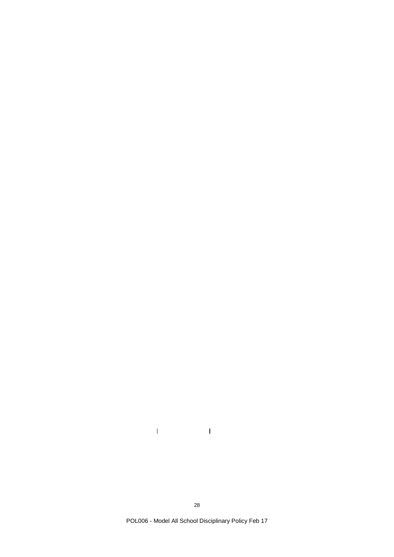## POL006 - Model All School Disciplinary Policy Feb 17

 $\sim 10^{-10}$  and  $\sim 10^{-10}$